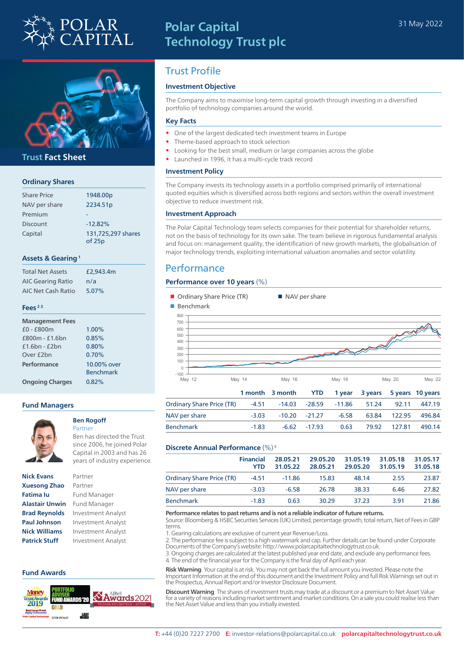

# **Polar Capital Technology Trust plc**



### **Trust Fact Sheet**

#### **Ordinary Shares**

| <b>Share Price</b> | 1948.00p           |
|--------------------|--------------------|
| NAV per share      | 2234.51p           |
| Premium            |                    |
| <b>Discount</b>    | $-12.82%$          |
| Capital            | 131,725,297 shares |
|                    | of 25p             |

#### **Assets & Gearing 1**

| <b>Total Net Assets</b>  | £2,943.4m |
|--------------------------|-----------|
| <b>AIC Gearing Ratio</b> | n/a       |
| AIC Net Cash Ratio       | 5.07%     |

#### **Fees 2 3**

| <b>Management Fees</b> |                                 |
|------------------------|---------------------------------|
| £0 - £800m             | 1.00%                           |
| £800m - £1.6bn         | 0.85%                           |
| $f1.6$ hn - $f2$ hn    | 0.80%                           |
| Over £2bn              | 0.70%                           |
| Performance            | 10.00% over<br><b>Benchmark</b> |
| <b>Ongoing Charges</b> | 0.82%                           |

#### **Fund Managers**



### **Ben Rogoff**

Ben has directed the Trust since 2006, he joined Polar Capital in 2003 and has 26

| <b>Nick Evans</b>     |
|-----------------------|
| <b>Xuesong Zhao</b>   |
| <b>Fatima lu</b>      |
| <b>Alastair Unwin</b> |
| <b>Brad Reynolds</b>  |
| <b>Paul Johnson</b>   |
| <b>Nick Williams</b>  |
| <b>Patrick Stuff</b>  |

## **Nick Evans** Partner Partner **Fund Manager Fund Manager**

**Investment Analyst Investment Analyst Nick Williams** Investment Analyst **Investment Analyst** 

#### **Fund Awards**



# Trust Profile

#### **Investment Objective**

The Company aims to maximise long-term capital growth through investing in a diversified portfolio of technology companies around the world.

#### **Key Facts**

- One of the largest dedicated tech investment teams in Europe
- Theme-based approach to stock selection
- Looking for the best small, medium or large companies across the globe
- Launched in 1996, it has a multi-cycle track record

#### **Investment Policy**

The Company invests its technology assets in a portfolio comprised primarily of international quoted equities which is diversified across both regions and sectors within the overall investment objective to reduce investment risk.

#### **Investment Approach**

The Polar Capital Technology team selects companies for their potential for shareholder returns, not on the basis of technology for its own sake. The team believe in rigorous fundamental analysis and focus on: management quality, the identification of new growth markets, the globalisation of major technology trends, exploiting international valuation anomalies and sector volatility.

### **Performance**

#### **Performance over 10 years** (%)

| Ordinary Share Price (TR)<br>Benchmark                           |         |          | NAV per share |          |         |               |          |
|------------------------------------------------------------------|---------|----------|---------------|----------|---------|---------------|----------|
| 800<br>700<br>600<br>500<br>400<br>300<br>200<br>100<br>$\Omega$ |         |          |               |          |         |               |          |
| $-100$<br>May 12                                                 | May 14  | May 16   |               | May 18   |         | <b>May 20</b> | May 22   |
|                                                                  | 1 month | 3 month  | <b>YTD</b>    | 1 year   | 3 years | 5 years       | 10 years |
| <b>Ordinary Share Price (TR)</b>                                 | $-4.51$ | $-14.03$ | $-28.59$      | $-11.86$ | 51.24   | 92.11         | 447.19   |
| NAV per share                                                    | $-3.03$ | $-10.20$ | $-21.27$      | $-6.58$  | 63.84   | 122.95        | 496.84   |
| <b>Benchmark</b>                                                 | $-1.83$ | $-6.62$  | $-17.93$      | 0.63     | 79.92   | 127.81        | 490.14   |

#### **Discrete Annual Performance** (%) 4

|                                  | <b>Financial</b> | 28.05.21 | 29.05.20 | 31.05.19 | 31.05.18 | 31.05.17 |
|----------------------------------|------------------|----------|----------|----------|----------|----------|
|                                  | <b>YTD</b>       | 31.05.22 | 28.05.21 | 29.05.20 | 31.05.19 | 31.05.18 |
| <b>Ordinary Share Price (TR)</b> | -4.51            | $-11.86$ | 15.83    | 48.14    | 2.55     | 23.87    |
| NAV per share                    | $-3.03$          | $-6.58$  | 26.78    | 38.33    | 6.46     | 27.82    |
| <b>Benchmark</b>                 | $-1.83$          | 0.63     | 30.29    | 37.23    | 391      | 21.86    |

#### **Performance relates to past returns and is not a reliable indicator of future returns.**

Source: Bloomberg & HSBC Securities Services (UK) Limited, percentage growth, total return, Net of Fees in GBP terms.

1. Gearing calculations are exclusive of current year Revenue/Loss.

2. The performance fee is subject to a high watermark and cap. Further details can be found under Corporate Documents of the Company's website: http://www.polarcapitaltechnologytrust.co.uk.

3. Ongoing charges are calculated at the latest published year end date, and exclude any performance fees. 4. The end of the financial year for the Company is the final day of April each year.

**Risk Warning** Your capital is at risk. You may not get back the full amount you invested. Please note the Important Information at the end of this document and the Investment Policy and full Risk Warnings set out in the Prospectus, Annual Report and/or Investor Disclosure Document.

**Discount Warning** The shares of investment trusts may trade at a discount or a premium to Net Asset Value for a variety of reasons including market sentiment and market conditions. On a sale you could realise less than the Net Asset Value and less than you initially invested.

#### **T:** +44 (0)20 7227 2700 **E:** investor-relations@polarcapital.co.uk **polarcapitaltechnologytrust.co.uk**

Partner years of industry experience.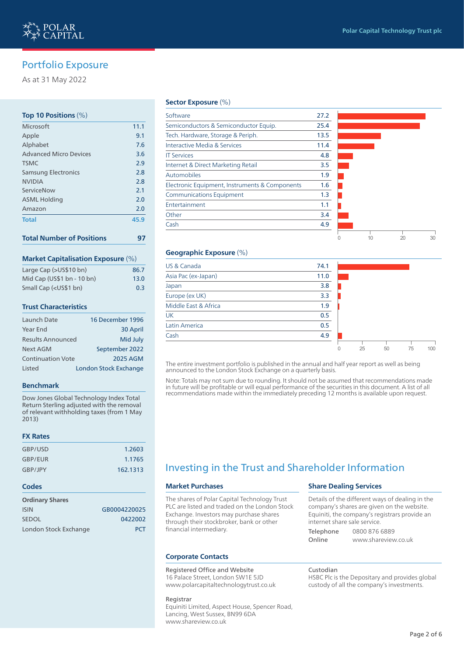As at 31 May 2022

#### **Top 10 Positions** (%)

| Microsoft                     | 11.1 |
|-------------------------------|------|
| Apple                         | 9.1  |
| Alphabet                      | 7.6  |
| <b>Advanced Micro Devices</b> | 3.6  |
| <b>TSMC</b>                   | 2.9  |
| <b>Samsung Electronics</b>    | 2.8  |
| <b>NVIDIA</b>                 | 2.8  |
| ServiceNow                    | 2.1  |
| <b>ASML Holding</b>           | 2.0  |
| Amazon                        | 2.0  |
| <b>Total</b>                  | 45.9 |
|                               |      |

|  | <b>Total Number of Positions</b> |  |
|--|----------------------------------|--|
|  |                                  |  |

#### **Market Capitalisation Exposure** (%)

| Large Cap (>US\$10 bn)                                | 86.7 |
|-------------------------------------------------------|------|
| Mid Cap (US\$1 bn - 10 bn)                            | 13.0 |
| Small Cap ( <us\$1 bn)<="" td=""><td>0.3</td></us\$1> | 0.3  |

#### **Trust Characteristics**

| Launch Date              | 16 December 1996             |
|--------------------------|------------------------------|
| Year End                 | 30 April                     |
| <b>Results Announced</b> | Mid July                     |
| <b>Next AGM</b>          | September 2022               |
| <b>Continuation Vote</b> | <b>2025 AGM</b>              |
| <b>Listed</b>            | <b>London Stock Exchange</b> |

#### **Benchmark**

Dow Jones Global Technology Index Total Return Sterling adjusted with the removal of relevant withholding taxes (from 1 May 2013)

#### **FX Rates**

| GBP/USD | 1.2603   |
|---------|----------|
| GBP/EUR | 1.1765   |
| GBP/JPY | 162.1313 |

#### **Codes**

| <b>Ordinary Shares</b> |              |
|------------------------|--------------|
| <b>ISIN</b>            | GB0004220025 |
| <b>SEDOL</b>           | 0422002      |
| London Stock Exchange  | <b>PCT</b>   |

#### **Sector Exposure** (%)

| Software                                       | 27.2 |    |    |    |
|------------------------------------------------|------|----|----|----|
| Semiconductors & Semiconductor Equip.          | 25.4 |    |    |    |
| Tech. Hardware, Storage & Periph.              | 13.5 |    |    |    |
| Interactive Media & Services                   | 11.4 |    |    |    |
| <b>IT Services</b>                             | 4.8  |    |    |    |
| Internet & Direct Marketing Retail             | 3.5  |    |    |    |
| Automobiles                                    | 1.9  |    |    |    |
| Electronic Equipment, Instruments & Components | 1.6  |    |    |    |
| <b>Communications Equipment</b>                | 1.3  |    |    |    |
| Entertainment                                  | 1.1  |    |    |    |
| Other                                          | 3.4  |    |    |    |
| Cash                                           | 4.9  |    |    |    |
|                                                |      | 10 | 20 | 30 |

#### **Geographic Exposure** (%)

| US & Canada          | 74.1 |         |    |    |                 |
|----------------------|------|---------|----|----|-----------------|
| Asia Pac (ex-Japan)  | 11.0 |         |    |    |                 |
| Japan                | 3.8  |         |    |    |                 |
| Europe (ex UK)       | 3.3  |         |    |    |                 |
| Middle East & Africa | 1.9  |         |    |    |                 |
| <b>UK</b>            | 0.5  |         |    |    |                 |
| Latin America        | 0.5  |         |    |    |                 |
| Cash                 | 4.9  |         |    |    |                 |
|                      |      | 25<br>U | 50 | 75 | 10 <sup>c</sup> |

The entire investment portfolio is published in the annual and half year report as well as being announced to the London Stock Exchange on a quarterly basis.

Note: Totals may not sum due to rounding. It should not be assumed that recommendations made in future will be profitable or will equal performance of the securities in this document. A list of all recommendations made within the immediately preceding 12 months is available upon request.

# Investing in the Trust and Shareholder Information

#### **Market Purchases**

The shares of Polar Capital Technology Trust PLC are listed and traded on the London Stock Exchange. Investors may purchase shares through their stockbroker, bank or other financial intermediary.

#### **Corporate Contacts**

#### Registered Office and Website

16 Palace Street, London SW1E 5JD www.polarcapitaltechnologytrust.co.uk

### Registrar

Equiniti Limited, Aspect House, Spencer Road, Lancing, West Sussex, BN99 6DA www.shareview.co.uk

#### **Share Dealing Services**

| Details of the different ways of dealing in the |               |  |  |  |
|-------------------------------------------------|---------------|--|--|--|
| company's shares are given on the website.      |               |  |  |  |
| Equiniti, the company's registrars provide an   |               |  |  |  |
| internet share sale service.                    |               |  |  |  |
| Telephone                                       | 0800 876 6889 |  |  |  |

Online www.shareview.co.uk

Custodian HSBC Plc is the Depositary and provides global custody of all the company's investments.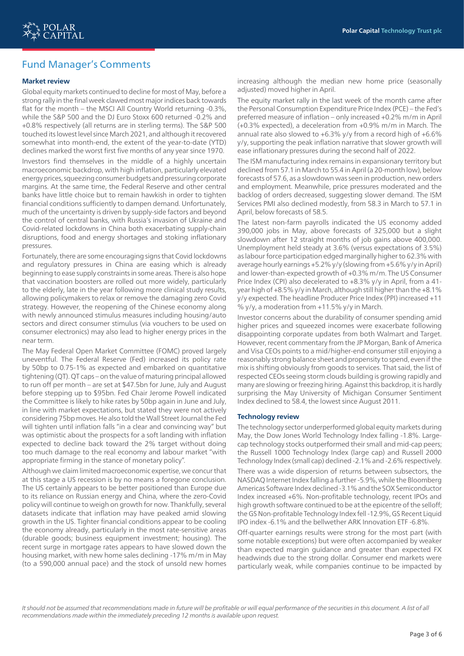# Fund Manager's Comments

#### **Market review**

Global equity markets continued to decline for most of May, before a strong rally in the final week clawed most major indices back towards flat for the month – the MSCI All Country World returning -0.3%, while the S&P 500 and the DJ Euro Stoxx 600 returned -0.2% and +0.8% respectively (all returns are in sterling terms). The S&P 500 touched its lowest level since March 2021, and although it recovered somewhat into month-end, the extent of the year-to-date (YTD) declines marked the worst first five months of any year since 1970.

Investors find themselves in the middle of a highly uncertain macroeconomic backdrop, with high inflation, particularly elevated energy prices, squeezing consumer budgets and pressuring corporate margins. At the same time, the Federal Reserve and other central banks have little choice but to remain hawkish in order to tighten financial conditions sufficiently to dampen demand. Unfortunately, much of the uncertainty is driven by supply-side factors and beyond the control of central banks, with Russia's invasion of Ukraine and Covid-related lockdowns in China both exacerbating supply-chain disruptions, food and energy shortages and stoking inflationary pressures.

Fortunately, there are some encouraging signs that Covid lockdowns and regulatory pressures in China are easing which is already beginning to ease supply constraints in some areas. There is also hope that vaccination boosters are rolled out more widely, particularly to the elderly, late in the year following more clinical study results, allowing policymakers to relax or remove the damaging zero Covid strategy. However, the reopening of the Chinese economy along with newly announced stimulus measures including housing/auto sectors and direct consumer stimulus (via vouchers to be used on consumer electronics) may also lead to higher energy prices in the near term.

The May Federal Open Market Committee (FOMC) proved largely uneventful. The Federal Reserve (Fed) increased its policy rate by 50bp to 0.75-1% as expected and embarked on quantitative tightening (QT). QT caps – on the value of maturing principal allowed to run off per month – are set at \$47.5bn for June, July and August before stepping up to \$95bn. Fed Chair Jerome Powell indicated the Committee is likely to hike rates by 50bp again in June and July, in line with market expectations, but stated they were not actively considering 75bp moves. He also told the Wall Street Journal the Fed will tighten until inflation falls "in a clear and convincing way" but was optimistic about the prospects for a soft landing with inflation expected to decline back toward the 2% target without doing too much damage to the real economy and labour market "with appropriate firming in the stance of monetary policy".

Although we claim limited macroeconomic expertise, we concur that at this stage a US recession is by no means a foregone conclusion. The US certainly appears to be better positioned than Europe due to its reliance on Russian energy and China, where the zero-Covid policy will continue to weigh on growth for now. Thankfully, several datasets indicate that inflation may have peaked amid slowing growth in the US. Tighter financial conditions appear to be cooling the economy already, particularly in the most rate-sensitive areas (durable goods; business equipment investment; housing). The recent surge in mortgage rates appears to have slowed down the housing market, with new home sales declining -17% m/m in May (to a 590,000 annual pace) and the stock of unsold new homes

increasing although the median new home price (seasonally adjusted) moved higher in April.

The equity market rally in the last week of the month came after the Personal Consumption Expenditure Price Index (PCE) – the Fed's preferred measure of inflation – only increased +0.2% m/m in April (+0.3% expected), a deceleration from +0.9% m/m in March. The annual rate also slowed to +6.3% y/y from a record high of +6.6% y/y, supporting the peak inflation narrative that slower growth will ease inflationary pressures during the second half of 2022.

The ISM manufacturing index remains in expansionary territory but declined from 57.1 in March to 55.4 in April (a 20-month low), below forecasts of 57.6, as a slowdown was seen in production, new orders and employment. Meanwhile, price pressures moderated and the backlog of orders decreased, suggesting slower demand. The ISM Services PMI also declined modestly, from 58.3 in March to 57.1 in April, below forecasts of 58.5.

The latest non-farm payrolls indicated the US economy added 390,000 jobs in May, above forecasts of 325,000 but a slight slowdown after 12 straight months of job gains above 400,000. Unemployment held steady at 3.6% (versus expectations of 3.5%) as labour force participation edged marginally higher to 62.3% with average hourly earnings +5.2% y/y (slowing from +5.6% y/y in April) and lower-than-expected growth of +0.3% m/m. The US Consumer Price Index (CPI) also decelerated to +8.3% y/y in April, from a 41 year high of +8.5% y/y in March, although still higher than the +8.1% y/y expected. The headline Producer Price Index (PPI) increased +11 % y/y, a moderation from +11.5% y/y in March.

Investor concerns about the durability of consumer spending amid higher prices and squeezed incomes were exacerbate following disappointing corporate updates from both Walmart and Target. However, recent commentary from the JP Morgan, Bank of America and Visa CEOs points to a mid/higher-end consumer still enjoying a reasonably strong balance sheet and propensity to spend, even if the mix is shifting obviously from goods to services. That said, the list of respected CEOs seeing storm clouds building is growing rapidly and many are slowing or freezing hiring. Against this backdrop, it is hardly surprising the May University of Michigan Consumer Sentiment Index declined to 58.4, the lowest since August 2011.

#### **Technology review**

The technology sector underperformed global equity markets during May, the Dow Jones World Technology Index falling -1.8%. Largecap technology stocks outperformed their small and mid-cap peers; the Russell 1000 Technology Index (large cap) and Russell 2000 Technology Index (small cap) declined -2.1% and -2.6% respectively.

There was a wide dispersion of returns between subsectors, the NASDAQ Internet Index falling a further -5.9%, while the Bloomberg Americas Software Index declined -3.1% and the SOX Semiconductor Index increased +6%. Non-profitable technology, recent IPOs and high growth software continued to be at the epicentre of the selloff; the GS Non-profitable Technology Index fell -12.9%, GS Recent Liquid IPO index -6.1% and the bellwether ARK Innovation ETF -6.8%.

Off-quarter earnings results were strong for the most part (with some notable exceptions) but were often accompanied by weaker than expected margin guidance and greater than expected FX headwinds due to the strong dollar. Consumer end markets were particularly weak, while companies continue to be impacted by

It should not be assumed that recommendations made in future will be profitable or will equal performance of the securities in this document. A list of all *recommendations made within the immediately preceding 12 months is available upon request.*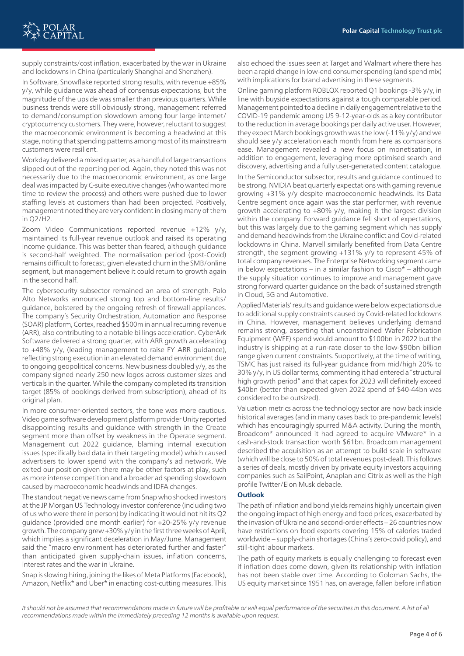

supply constraints/cost inflation, exacerbated by the war in Ukraine and lockdowns in China (particularly Shanghai and Shenzhen).

In Software, Snowflake reported strong results, with revenue +85% y/y, while guidance was ahead of consensus expectations, but the magnitude of the upside was smaller than previous quarters. While business trends were still obviously strong, management referred to demand/consumption slowdown among four large internet/ cryptocurrency customers. They were, however, reluctant to suggest the macroeconomic environment is becoming a headwind at this stage, noting that spending patterns among most of its mainstream customers were resilient.

Workday delivered a mixed quarter, as a handful of large transactions slipped out of the reporting period. Again, they noted this was not necessarily due to the macroeconomic environment, as one large deal was impacted by C-suite executive changes (who wanted more time to review the process) and others were pushed due to lower staffing levels at customers than had been projected. Positively, management noted they are very confident in closing many of them in Q2/H2.

Zoom Video Communications reported revenue +12% y/y, maintained its full-year revenue outlook and raised its operating income guidance. This was better than feared, although guidance is second-half weighted. The normalisation period (post-Covid) remains difficult to forecast, given elevated churn in the SMB/online segment, but management believe it could return to growth again in the second half.

The cybersecurity subsector remained an area of strength. Palo Alto Networks announced strong top and bottom-line results/ guidance, bolstered by the ongoing refresh of firewall appliances. The company's Security Orchestration, Automation and Response (SOAR) platform, Cortex, reached \$500m in annual recurring revenue (ARR), also contributing to a notable billings acceleration. CyberArk Software delivered a strong quarter, with ARR growth accelerating to +48% y/y, (leading management to raise FY ARR guidance), reflecting strong execution in an elevated demand environment due to ongoing geopolitical concerns. New business doubled y/y, as the company signed nearly 250 new logos across customer sizes and verticals in the quarter. While the company completed its transition target (85% of bookings derived from subscription), ahead of its original plan.

In more consumer-oriented sectors, the tone was more cautious. Video game software development platform provider Unity reported disappointing results and guidance with strength in the Create segment more than offset by weakness in the Operate segment. Management cut 2022 guidance, blaming internal execution issues (specifically bad data in their targeting model) which caused advertisers to lower spend with the company's ad network. We exited our position given there may be other factors at play, such as more intense competition and a broader ad spending slowdown caused by macroeconomic headwinds and IDFA changes.

The standout negative news came from Snap who shocked investors at the JP Morgan US Technology investor conference (including two of us who were there in person) by indicating it would not hit its Q2 guidance (provided one month earlier) for +20-25% y/y revenue growth. The company grew +30% y/y in the first three weeks of April, which implies a significant deceleration in May/June. Management said the "macro environment has deteriorated further and faster" than anticipated given supply-chain issues, inflation concerns, interest rates and the war in Ukraine.

Snap is slowing hiring, joining the likes of Meta Platforms (Facebook), Amazon, Netflix\* and Uber\* in enacting cost-cutting measures. This

also echoed the issues seen at Target and Walmart where there has been a rapid change in low-end consumer spending (and spend mix) with implications for brand advertising in these segments.

Online gaming platform ROBLOX reported Q1 bookings -3% y/y, in line with buyside expectations against a tough comparable period. Management pointed to a decline in daily engagement relative to the COVID-19 pandemic among US 9-12-year-olds as a key contributor to the reduction in average bookings per daily active user. However, they expect March bookings growth was the low (-11% y/y) and we should see y/y acceleration each month from here as comparisons ease. Management revealed a new focus on monetisation, in addition to engagement, leveraging more optimised search and discovery, advertising and a fully user-generated content catalogue. In the Semiconductor subsector, results and guidance continued to be strong. NVIDIA beat quarterly expectations with gaming revenue growing +31% y/y despite macroeconomic headwinds. Its Data Centre segment once again was the star performer, with revenue growth accelerating to +80% y/y, making it the largest division within the company. Forward guidance fell short of expectations, but this was largely due to the gaming segment which has supply and demand headwinds from the Ukraine conflict and Covid-related lockdowns in China. Marvell similarly benefited from Data Centre strength, the segment growing +131% y/y to represent 45% of total company revenues. The Enterprise Networking segment came in below expectations – in a similar fashion to  $Cisco^*$  – although the supply situation continues to improve and management gave strong forward quarter guidance on the back of sustained strength in Cloud, 5G and Automotive.

Applied Materials' results and guidance were below expectations due to additional supply constraints caused by Covid-related lockdowns in China. However, management believes underlying demand remains strong, asserting that unconstrained Wafer Fabrication Equipment (WFE) spend would amount to \$100bn in 2022 but the industry is shipping at a run-rate closer to the low-\$90bn billion range given current constraints. Supportively, at the time of writing, TSMC has just raised its full-year guidance from mid/high 20% to 30% y/y, in US dollar terms, commenting it had entered a "structural high growth period" and that capex for 2023 will definitely exceed \$40bn (better than expected given 2022 spend of \$40-44bn was considered to be outsized).

Valuation metrics across the technology sector are now back inside historical averages (and in many cases back to pre-pandemic levels) which has encouragingly spurred M&A activity. During the month, Broadcom\* announced it had agreed to acquire VMware\* in a cash-and-stock transaction worth \$61bn. Broadcom management described the acquisition as an attempt to build scale in software (which will be close to 50% of total revenues post-deal). This follows a series of deals, mostly driven by private equity investors acquiring companies such as SailPoint, Anaplan and Citrix as well as the high profile Twitter/Elon Musk debacle.

#### **Outlook**

The path of inflation and bond yields remains highly uncertain given the ongoing impact of high energy and food prices, exacerbated by the invasion of Ukraine and second-order effects – 26 countries now have restrictions on food exports covering 15% of calories traded worldwide – supply-chain shortages (China's zero-covid policy), and still-tight labour markets.

The path of equity markets is equally challenging to forecast even if inflation does come down, given its relationship with inflation has not been stable over time. According to Goldman Sachs, the US equity market since 1951 has, on average, fallen before inflation

It should not be assumed that recommendations made in future will be profitable or will equal performance of the securities in this document. A list of all *recommendations made within the immediately preceding 12 months is available upon request.*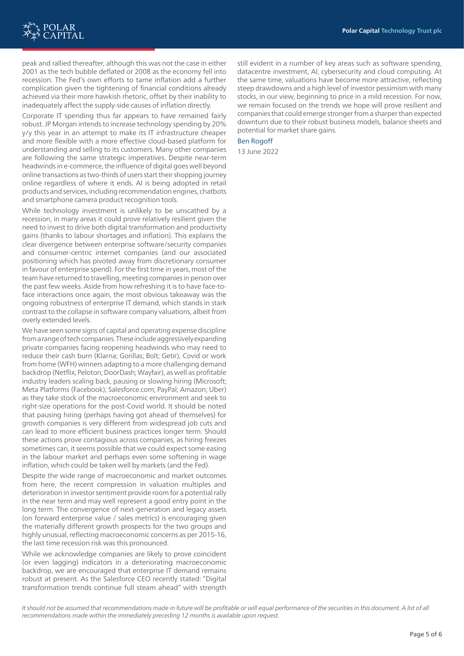

peak and rallied thereafter, although this was not the case in either 2001 as the tech bubble deflated or 2008 as the economy fell into recession. The Fed's own efforts to tame inflation add a further complication given the tightening of financial conditions already achieved via their more hawkish rhetoric, offset by their inability to inadequately affect the supply-side causes of inflation directly.

Corporate IT spending thus far appears to have remained fairly robust. JP Morgan intends to increase technology spending by 20% y/y this year in an attempt to make its IT infrastructure cheaper and more flexible with a more effective cloud-based platform for understanding and selling to its customers. Many other companies are following the same strategic imperatives. Despite near-term headwinds in e-commerce, the influence of digital goes well beyond online transactions as two-thirds of users start their shopping journey online regardless of where it ends. AI is being adopted in retail products and services, including recommendation engines, chatbots and smartphone camera product recognition tools.

While technology investment is unlikely to be unscathed by a recession, in many areas it could prove relatively resilient given the need to invest to drive both digital transformation and productivity gains (thanks to labour shortages and inflation). This explains the clear divergence between enterprise software/security companies and consumer-centric internet companies (and our associated positioning which has pivoted away from discretionary consumer in favour of enterprise spend). For the first time in years, most of the team have returned to travelling, meeting companies in person over the past few weeks. Aside from how refreshing it is to have face-toface interactions once again, the most obvious takeaway was the ongoing robustness of enterprise IT demand, which stands in stark contrast to the collapse in software company valuations, albeit from overly extended levels.

We have seen some signs of capital and operating expense discipline from a range of tech companies. These include aggressively expanding private companies facing reopening headwinds who may need to reduce their cash burn (Klarna; Gorillas; Bolt; Getir), Covid or work from home (WFH) winners adapting to a more challenging demand backdrop (Netflix; Peloton; DoorDash; Wayfair), as well as profitable industry leaders scaling back, pausing or slowing hiring (Microsoft; Meta Platforms (Facebook); Salesforce.com; PayPal; Amazon; Uber) as they take stock of the macroeconomic environment and seek to right-size operations for the post-Covid world. It should be noted that pausing hiring (perhaps having got ahead of themselves) for growth companies is very different from widespread job cuts and can lead to more efficient business practices longer term. Should these actions prove contagious across companies, as hiring freezes sometimes can, it seems possible that we could expect some easing in the labour market and perhaps even some softening in wage inflation, which could be taken well by markets (and the Fed).

Despite the wide range of macroeconomic and market outcomes from here, the recent compression in valuation multiples and deterioration in investor sentiment provide room for a potential rally in the near term and may well represent a good entry point in the long term. The convergence of next-generation and legacy assets (on forward enterprise value / sales metrics) is encouraging given the materially different growth prospects for the two groups and highly unusual, reflecting macroeconomic concerns as per 2015-16, the last time recession risk was this pronounced.

While we acknowledge companies are likely to prove coincident (or even lagging) indicators in a deteriorating macroeconomic backdrop, we are encouraged that enterprise IT demand remains robust at present. As the Salesforce CEO recently stated: "Digital transformation trends continue full steam ahead" with strength

still evident in a number of key areas such as software spending, datacentre investment, AI, cybersecurity and cloud computing. At the same time, valuations have become more attractive, reflecting steep drawdowns and a high level of investor pessimism with many stocks, in our view, beginning to price in a mild recession. For now, we remain focused on the trends we hope will prove resilient and companies that could emerge stronger from a sharper than expected downturn due to their robust business models, balance sheets and potential for market share gains.

Ben Rogoff

13 June 2022

It should not be assumed that recommendations made in future will be profitable or will equal performance of the securities in this document. A list of all *recommendations made within the immediately preceding 12 months is available upon request.*